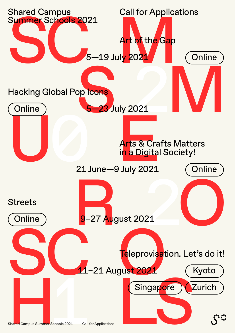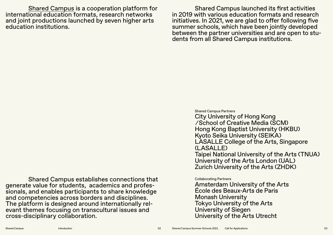Shared Campus is a cooperation platform for international education formats, research networks and joint productions launched by seven higher arts education institutions.

Shared Campus launched its first activities in 2019 with various education formats and research initiatives. In 2021, we are glad to offer following five summer schools, which have been jointly developed<br>between the partner universities and are open to students from all Shared Campus institutions.

Shared Campus establishes connections that generate value for students, academics and profes- sionals, and enables participants to share knowledge and competencies across borders and disciplines. The platform is designed around internationally rel- evant themes focusing on transcultural issues and cross-disciplinary collaboration.

Shared Campus Partners City University of Hong Kong ⁄ School of Creative Media (SCM) Hong Kong Baptist University (HKBU) Kyoto Seika University (SEIKA) LASALLE College of the Arts, Singapore  $($  $|$  ASALLE) Taipei National University of the Arts (TNUA) University of the Arts London (UAL) Zurich University of the Arts (ZHDK)

#### Collaborating Partners

Amsterdam University of the Arts École des Beaux-Arts de Paris Monash University Tokyo University of the Arts University of Siegen University of the Arts Utrecht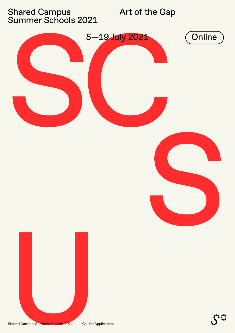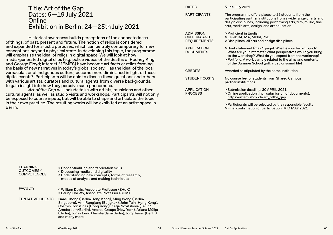#### Title: Art of the Gap Dates: 5—19 July 2021 **Online** Exhibition in Berlin: 24—25th July 2021

Historical awareness builds perceptions of the connectedness of things, of past, present and future. The notion of relics is considered and expanded for artistic purposes, which can be truly contemporary for new conceptions beyond a physical state. In developing this topic, the programme will emphasise the ideal of relics in digital space. We will look at how media-generated digital clips (e.g. police videos of the deaths of Rodney King and George Floyd; internet MEMES) have become artifacts or relics forming the basis of new narratives in today's global society. Has the ideal of the local vernacular, or of indigenous culture, become more diminished in light of these digital events? Participants will be able to discuss these questions and others with various artists, curators and cultural agents from diverse backgrounds, to gain insight into how they perceive such phenomena.

*Art of the Gap* will include talks with artists, musicians and other cultural agents, as well as studio visits and workshops. Participants will not only be exposed to course inputs, but will be able to shape and articulate the topic in their own practice. The resulting works will be exhibited at an artist space in Berlin.

| <b>DATES</b>                                                   | 5-19 July 2021                                                                                                                                                                                                                                                                                     |
|----------------------------------------------------------------|----------------------------------------------------------------------------------------------------------------------------------------------------------------------------------------------------------------------------------------------------------------------------------------------------|
| <b>PARTICIPANTS</b>                                            | The programme offers places to 25 students from the<br>participating partner institutions from a wide range of arts and<br>design disciplines, including performing arts, film, music, fine<br>arts, media arts, design, and art education.                                                        |
| <b>ADMISSION</b><br><b>CRITERIA AND</b><br><b>REQUIREMENTS</b> | ○ Proficient in English<br>o Level: BA, MA, MPhil, PhD<br>o Disciplines: all arts and design disciplines                                                                                                                                                                                           |
| <b>APPLICATION</b><br><b>DOCUMENTS</b>                         | o Brief statement (max 1 page): What is your background?<br>What are your interests? What perspectives would you bring<br>to the workshop? What do you expect from the workshop?<br>○ Portfolio: A work sample related to the aims and contents<br>of the Summer School (pdf, video or sound file) |
| <b>CREDITS</b>                                                 | Awarded as stipulated by the home institution                                                                                                                                                                                                                                                      |
| <b>STUDENT COSTS</b>                                           | No course fee for students from Shared Campus<br>partner institutions                                                                                                                                                                                                                              |
| <b>APPLICATION</b><br><b>PROCESS</b>                           | o Submission deadline: 30 APRIL 2021<br>○ Online application (incl. submission of documents):<br>https://intern.zhdk.ch/art_ofthe_gap                                                                                                                                                              |
|                                                                | o Participants will be selected by the responsible faculty                                                                                                                                                                                                                                         |

Final confirmation of participation: MID MAY 2021

| LEARNING<br>OUTCOMES/<br><b>COMPETENCES</b> | ○ Conceptualizing and fabrication skills<br>o Discussing media and digitality<br>o Understanding new concepts, forms of research,<br>modes of analysis and making techniques                                                                                                                                                  |
|---------------------------------------------|-------------------------------------------------------------------------------------------------------------------------------------------------------------------------------------------------------------------------------------------------------------------------------------------------------------------------------|
| <b>FACULTY</b>                              | o William Davis, Associate Professor (ZHdK)<br>o Leung Chi Wo, Associate Professor (SCM)                                                                                                                                                                                                                                      |
| <b>TENTATIVE GUESTS</b>                     | Isaac Chong (Berlin/Hong Kong), Ming Wong (Berlin/<br>Singapore), Arin Rungjang (Bangkok), John Tain (Hong Kong),<br>Cosmin Constinas (Hong Kong), Katja Novitskova (Tallin/<br>Amsterdam/Berlin), Andrea Crespo (New York), Ariana Müller<br>(Berlin), Jonas Lund (Amsterdam/Berlin), Jörg Heiser (Berlin)<br>and many more. |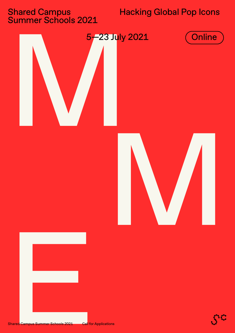# Shared Campus<br>Summer Schools 2021

# **Hacking Global Pop Icons**

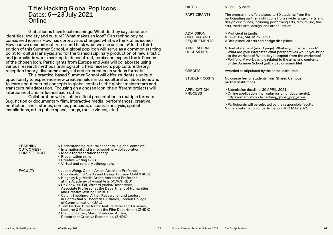#### Title: Hacking Global Pop Icons Dates: 5—23 July 2021 **Online**

Global icons have local meanings: What do they say about our identities, society and culture? What makes an icon? Can technology be considered iconic? How has coronavirus changed what we think of as iconic? How can we deconstruct, remix and hack what we see as iconic? In the third edition of this Summer School, a global pop icon will serve as a common starting point for cultural analysis and for the transdisciplinary production of new artistic and journalistic works seeking to deconstruct, remix and expand the influence of the chosen icon. Participants from Europe and Asia will collaborate using various research methods (ethnographic field research, pop culture theory, reception theory, discourse analysis) and co-creation in various formats.

This practice-based Summer School will offer students a unique opportunity to experience new creative fields in transcultural collaborations and to learn about cultural concepts in global contexts, the global mainstream and transcultural adaptation. Focusing on a chosen icon, the different projects will interconnect and influence each other.

Collaboration will result in a final presentation in multiple formats (e.g. fiction or documentary film, interactive media, performances, creative nonfiction, short stories, comics, podcasts, discourse analysis, spatial installations, art in public space, songs, music videos, etc.).

| <b>DATES</b>                                                   | $5 - 23$ July 2021                                                                                                                                                                                                                                                                                 |
|----------------------------------------------------------------|----------------------------------------------------------------------------------------------------------------------------------------------------------------------------------------------------------------------------------------------------------------------------------------------------|
| <b>PARTICIPANTS</b>                                            | The programme offers places to 30 students from the<br>participating partner institutions from a wide range of arts and<br>design disciplines, including performing arts, film, music, fine<br>arts, media arts, design, and art education.                                                        |
| <b>ADMISSION</b><br><b>CRITERIA AND</b><br><b>REQUIREMENTS</b> | ○ Proficient in English<br>o Level: BA, MA, MPhil, PhD<br>○ Disciplines: all arts and design disciplines                                                                                                                                                                                           |
| <b>APPLICATION</b><br><b>DOCUMENTS</b>                         | o Brief statement (max 1 page): What is your background?<br>What are your interests? What perspectives would you bring<br>to the workshop? What do you expect from the workshop?<br>o Portfolio: A work sample related to the aims and contents<br>of the Summer School (pdf, video or sound file) |
| <b>CREDITS</b>                                                 | Awarded as stipulated by the home institution                                                                                                                                                                                                                                                      |
| <b>STUDENT COSTS</b>                                           | No course fee for students from Shared Campus<br>partner institutions                                                                                                                                                                                                                              |
| <b>APPLICATION</b><br><b>PROCESS</b>                           | ○ Submission deadline: 30 APRIL 2021<br>○ Online application (incl. submission of documents):<br>https://intern.zhdk.ch/hacking_global_pop_icons<br>$\circ$ Participants will be selected by the responsible faculty                                                                               |

Final confirmation of participation: MID MAY 2021

| <b>LEARNING</b><br>OUTCOMES/<br><b>COMPETENCES</b> | ○ Understanding cultural concepts in global contexts<br>o International and transdisciplinary collaboration<br>o Media representation theory<br>○ Presentation skills<br>o Creative writing skills<br>o Virtual and sensory ethnography                                                                                                                                                                                                                                                                                                                                                                                                                                                           |
|----------------------------------------------------|---------------------------------------------------------------------------------------------------------------------------------------------------------------------------------------------------------------------------------------------------------------------------------------------------------------------------------------------------------------------------------------------------------------------------------------------------------------------------------------------------------------------------------------------------------------------------------------------------------------------------------------------------------------------------------------------------|
| <b>FACULTY</b>                                     | ○ Justin Wong, Comic Artist, Assistant Professor,<br>Coordinator of Crafts and Design Division (AVA/HKBU)<br>o Kingsley Ng, Media Artist, Assistant Professor<br>at the Academy of Visual Arts (AVA/HKBU)<br>o Dr Chow Yiu Fai, Writer/Lyricist/Researcher,<br>Associate Professor at the Department of Humanities<br>and Creative Writing (HKBU)<br>o Caitlin Shepherd, Artist, Researcher and Lecturer<br>in Contextual & Theoretical Studies, London College<br>of Communication (UAL)<br>○ Tom Gerber, Director for feature films and TV series,<br>Lecturer & Researcher at the Film Department (ZHDK)<br>○ Claudio Bucher, Music Producer, Author,<br>Researcher Creative Economies, (ZHDK) |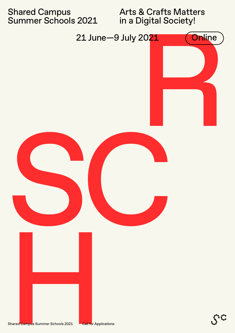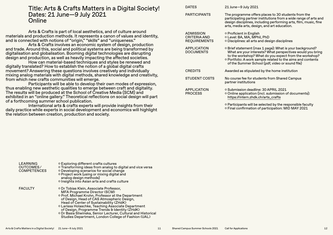#### Title: Arts & Crafts Matters in a Digital Society! Dates: 21 June—9 July 2021 **Online**

Arts & Crafts is part of local aesthetics, and of culture around materials and production methods. It represents a canon of values and identity, and is connected with notions of "origin," "skills" and "uniqueness."

Arts & Crafts involves an economic system of design, production and trade. Around this, social and political systems are being transformed by digitalisation and globalisation. Booming digital technologies are disrupting design and production, as well as heavily impacting the affected societies.

How can material-based techniques and styles be renewed and digitally translated? How to establish the notion of a global digital crafts movement? Answering these questions involves creatively and individually mixing analog materials with digital methods, shared knowledge and creativity, from which new crafts communities will emerge.

Participants will be able to develop their own modes of expression, thus enabling new aesthetic qualities to emerge between craft and digitality. The results will be produced at the School of Creative Media (SCM) and exhibited in an "online gallery." Theoretical reflections on social design will part of a forthcoming summer school publication.

International arts & crafts experts will provide insights from their daily practice while experts in social development and economics will highlight the relation between creation, production and society.

| <b>DATES</b>                                                   | 21 June-9 July 2021                                                                                                                                                                                                                                                                                |
|----------------------------------------------------------------|----------------------------------------------------------------------------------------------------------------------------------------------------------------------------------------------------------------------------------------------------------------------------------------------------|
| <b>PARTICIPANTS</b>                                            | The programme offers places to 30 students from the<br>participating partner institutions from a wide range of arts and<br>design disciplines, including performing arts, film, music, fine<br>arts, media arts, design, and art education.                                                        |
| <b>ADMISSION</b><br><b>CRITERIA AND</b><br><b>REQUIREMENTS</b> | ○ Proficient in English<br>○ Level: BA, MA, MPhil, PhD<br>O Disciplines: all arts and design disciplines                                                                                                                                                                                           |
| <b>APPLICATION</b><br><b>DOCUMENTS</b>                         | o Brief statement (max 1 page): What is your background?<br>What are your interests? What perspectives would you bring<br>to the workshop? What do you expect from the workshop?<br>○ Portfolio: A work sample related to the aims and contents<br>of the Summer School (pdf, video or sound file) |
| <b>CREDITS</b>                                                 | Awarded as stipulated by the home institution                                                                                                                                                                                                                                                      |
| <b>STUDENT COSTS</b>                                           | No course fee for students from Shared Campus<br>partner institutions                                                                                                                                                                                                                              |
| <b>APPLICATION</b><br><b>PROCESS</b>                           | o Submission deadline: 30 APRIL 2021<br>○ Online application (incl. submission of documents):<br>https://intern.zhdk.ch/arts_crafts                                                                                                                                                                |
|                                                                | $\circ$ Participants will be selected by the responsible faculty<br>○ Final confirmation of participation: MID MAY 2021                                                                                                                                                                            |

| <b>LEARNING</b><br>OUTCOMES/<br><b>COMPETENCES</b> | o Exploring different crafts cultures<br>o Transforming ideas from analog to digital and vice versa<br>o Developing scenarios for social change<br>o Project work (using or mixing digital and<br>analog design methods)<br>o Insights into Asian arts and crafts culture                                                                                                                                                                                     |
|----------------------------------------------------|---------------------------------------------------------------------------------------------------------------------------------------------------------------------------------------------------------------------------------------------------------------------------------------------------------------------------------------------------------------------------------------------------------------------------------------------------------------|
| <b>FACULTY</b>                                     | ○ Dr Tobias Klein, Associate Professor,<br><b>MFA Programme Director (SCM)</b><br>○ Prof. Michael Krohn, Professor at the Department<br>of Design, Head of CAS Atmospheric Design,<br>Head of Center of Sustainability (ZHdK)<br>o Larissa Holaschke, Teaching Associate Department<br>of Design, Programme Trends & Identity (ZHdK)<br>O Dr Basia Sliwinska, Senior Lecturer, Cultural and Historical<br>Studies Department, London College of Fashion (UAL) |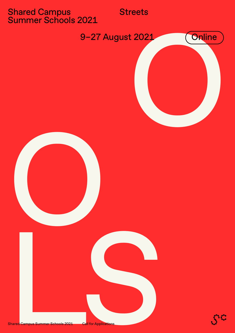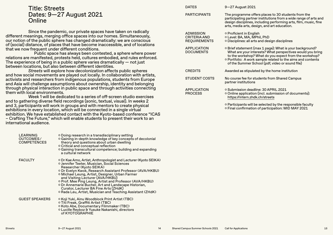#### Title: Streets Dates: 9—27 August 2021 Online

Since the pandemic, our private spaces have taken on radically different meanings, merging office spaces into our homes. Simultaneously, our notion of the public sphere has changed dramatically: we are conscious of (social) distance, of places that have become inaccessible, and of locations that we now frequent under different conditions.

Public space has always been contested, a sphere where power relations are manifested, protests held, cultures embodied, and rules enforced. The experience of being in a public sphere varies dramatically  $-$  not just between locations, but also between different identities.

*Streets* will explore how decolonization affects public spheres and how social movements are played out locally. In collaboration with artists, activists and researchers from indigenous populations, students from Europe and Asia will challenge assumptions about ownership, identity and belonging through physical interaction in public space and through activities connecting them with local environments.

Week 1 will be dedicated to a series of off-screen studio exercises and to gathering diverse field recordings (sonic, textual, visual). In weeks 2 and 3, participants will work in groups and with mentors to create physical exhibitions in every location, which will be connected in a single virtual exhibition. We have established contact with the Kyoto-based conference "ICAS – Crafting The Future," which will enable students to present their work to an international audience.

| <b>LEARNING</b><br>OUTCOMES/<br><b>COMPETENCES</b> | o Doing research in a transdisciplinary setting<br>○ Gaining in-depth knowledge of key concepts of decolonial<br>theory and questions about urban dwelling<br>o Critical and conceptual reflection<br><b>O</b> Gaining transcultural competence; building and expanding<br>a cultural network                                                                                                                                                                                                                            |
|----------------------------------------------------|--------------------------------------------------------------------------------------------------------------------------------------------------------------------------------------------------------------------------------------------------------------------------------------------------------------------------------------------------------------------------------------------------------------------------------------------------------------------------------------------------------------------------|
| <b>FACULTY</b>                                     | ο Dr Kae Amo, Artist, Anthropologist and Lecturer (Κγοτο SEIKA)<br>o Jennifer Teeter, Musician, Social Sciences<br>Researcher (Kyoto SEIKA)<br>O Dr Evelyn Kwok, Research Assistant Professor (AVA/HKBU)<br>o Michael Leung, Artist, Designer, Urban Farmer<br>and Visiting Lecturer (AVA/HKBU)<br>○ Prof. Mee Ping Leung, Artist and Professor (AVA/HKBU)<br>o Dr Annemarie Bucher, Art and Landscape Historian,<br>Curator, Lecturer BA Fine Arts (ZHdK)<br>o Rada Leu, Artist, Musician and Teaching Assistant (ZHdK) |
| <b>GUEST SPEAKERS</b>                              | ○ Koji Yuki, Ainu Woodblock Print Artist (TBC)<br>O Titi Freak, Graffiti Artist (TBC)<br>o Koto Abe, Documentary Filmmaker (TBC)<br>○ Lucille Reyboz & Yusuke Nakanishi, directors<br>of KYOTOGRAPHIE                                                                                                                                                                                                                                                                                                                    |

| <b>DATES</b>                                                   | 9-27 August 2021                                                                                                                                                                                                                                                                                   |
|----------------------------------------------------------------|----------------------------------------------------------------------------------------------------------------------------------------------------------------------------------------------------------------------------------------------------------------------------------------------------|
| <b>PARTICIPANTS</b>                                            | The programme offers places to 30 students from the<br>participating partner institutions from a wide range of arts and<br>design disciplines, including performing arts, film, music, fine<br>arts, media arts, design, and art education.                                                        |
| <b>ADMISSION</b><br><b>CRITERIA AND</b><br><b>REQUIREMENTS</b> | ○ Proficient in English<br>o Level: BA, MA, MPhil, PhD<br>o Disciplines: all arts and design disciplines                                                                                                                                                                                           |
| <b>APPLICATION</b><br><b>DOCUMENTS</b>                         | o Brief statement (max 1 page): What is your background?<br>What are your interests? What perspectives would you bring<br>to the workshop? What do you expect from the workshop?<br>○ Portfolio: A work sample related to the aims and contents<br>of the Summer School (pdf, video or sound file) |
| <b>CREDITS</b>                                                 | Awarded as stipulated by the home institution                                                                                                                                                                                                                                                      |
| STUDENT COSTS                                                  | No course fee for students from Shared Campus<br>partner institutions                                                                                                                                                                                                                              |
| <b>APPLICATION</b><br><b>PROCESS</b>                           | o Submission deadline: 30 APRIL 2021<br>o Online application (incl. submission of documents):<br>https://intern.zhdk.ch/streets                                                                                                                                                                    |

 Participants will be selected by the responsible faculty Final confirmation of participation: MID MAY 2021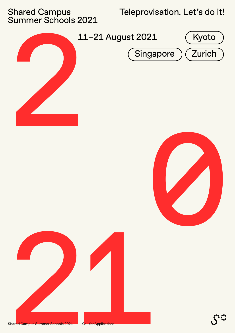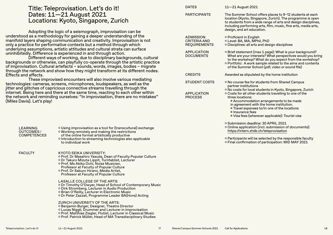|                                 | Title: Teleprovisation. Let's do it!                                                                                                                            | <b>DATES</b>                               | 11-21 August 2021                                                                                                           |
|---------------------------------|-----------------------------------------------------------------------------------------------------------------------------------------------------------------|--------------------------------------------|-----------------------------------------------------------------------------------------------------------------------------|
|                                 | Dates: 11-21 August 2021                                                                                                                                        | <b>PARTICIPANTS</b>                        | The Summer School offers places to 8-12 students at each                                                                    |
|                                 | Locations: Kyoto, Singapore, Zurich                                                                                                                             |                                            | location (Kyoto, Singapore, Zurich). The programme is open<br>to students from a wide range of arts and design disciplines, |
|                                 |                                                                                                                                                                 |                                            | including performing arts, film, music, fine arts, media arts,                                                              |
|                                 | Adopting the logic of a seismograph, improvisation can be                                                                                                       |                                            | design, and art education.                                                                                                  |
|                                 | understood as a methodology for gaining a deeper understanding of the                                                                                           | <b>ADMISSION</b>                           | o Proficient in English                                                                                                     |
|                                 | manifold layers shaping communication and creativity. Improvisation is not<br>only a practice for performative contexts but a method through which              | <b>CRITERIA AND</b><br><b>REQUIREMENTS</b> | o Level: BA, MA, MPhil, PhD<br>o Disciplines: all arts and design disciplines                                               |
|                                 | underlying assumptions, artistic attitudes and cultural strata can surface                                                                                      |                                            |                                                                                                                             |
|                                 | uninhibitedly. Difference is experienced in and through action.                                                                                                 | <b>APPLICATION</b><br><b>DOCUMENTS</b>     | ○ Brief statement (max 1 page): What is your background?                                                                    |
|                                 | Different ways of working, due to disciplinary backgrounds, cultural                                                                                            |                                            | What are your interests? What perspectives would you bring<br>to the workshop? What do you expect from the workshop?        |
|                                 | backgrounds or otherwise, can playfully co-operate through the artistic practice                                                                                |                                            | o Portfolio: A work sample related to the aims and contents                                                                 |
|                                 | of improvisation. Cultural artefacts - sounds, words, images, bodies - migrate<br>through the network and show how they might transform at its different nodes. |                                            | of the Summer School (pdf, video or sound file)                                                                             |
| <b>Effects and affects.</b>     |                                                                                                                                                                 | <b>CREDITS</b>                             | Awarded as stipulated by the home institution                                                                               |
|                                 | These improvised encounters will also involve various mediating                                                                                                 | <b>STUDENT COSTS</b>                       | o No course fee for students from Shared Campus                                                                             |
|                                 | technologies: cameras, screens, microphones, loudspeakers, as well as the                                                                                       |                                            | partner institutions                                                                                                        |
|                                 | jitter and glitches of capricious connective streams travelling through the<br>internet. Being here and there at the same time, reacting to each other within   | <b>APPLICATION</b>                         | o No costs for local students in Kyoto, Singapore, Zurich<br>o Costs for all other students travelling to one of the        |
|                                 | the network and reminding ourselves: "In improvisation, there are no mistakes"                                                                                  | <b>PROCESS</b>                             | three locations:                                                                                                            |
| (Miles Davis). Let's play!      |                                                                                                                                                                 |                                            | © Accommodation arrangements to be made                                                                                     |
|                                 |                                                                                                                                                                 |                                            | in agreement with the home institution.<br>● Travel expenses to/in one of the locations                                     |
|                                 |                                                                                                                                                                 |                                            | ● Insurance fees                                                                                                            |
|                                 |                                                                                                                                                                 |                                            | · Visa fees (wherever applicable): Tourist visa                                                                             |
|                                 |                                                                                                                                                                 |                                            | o Submission deadline: 30 APRIL 2021                                                                                        |
| <b>LEARNING</b>                 | o Using improvisation as a tool for (transcultural) exchange                                                                                                    |                                            | o Online application (incl. submission of documents):<br>https://intern.zhdk.ch/teleprovisation                             |
| OUTCOMES/<br><b>COMPETENCES</b> | o Working remotely and making the restrictions<br>of the online format artistically productive                                                                  |                                            |                                                                                                                             |
|                                 | o Introduction to streaming technologies also applicable<br>to individual work                                                                                  |                                            | o Participants will be selected by the responsible faculty<br>o Final confirmation of participation: MID MAY 2021           |
|                                 |                                                                                                                                                                 |                                            |                                                                                                                             |
| <b>FACULTY</b>                  | KYOTO SEIKA UNIVERSITY:                                                                                                                                         |                                            |                                                                                                                             |
|                                 | o Prof. Dr Masahiro Yasuda, Dean of Faculty Popular Culture                                                                                                     |                                            |                                                                                                                             |
|                                 | o Dr Takuro Mizuta Lippit, Turntablist, Lecturer<br>o Prof. Ms Akiko Ochi, Noise Musician,                                                                      |                                            |                                                                                                                             |
|                                 | Professor at Faculty of Popular Culture                                                                                                                         |                                            |                                                                                                                             |
|                                 | o Prof. Dr Saburo Hirano, Media Artist,<br>Professor at Faculty of Popular Culture                                                                              |                                            |                                                                                                                             |
|                                 |                                                                                                                                                                 |                                            |                                                                                                                             |
|                                 | LASALLE COLLEGE OF THE ARTS:<br>o Dr Timothy O'Dwyer, Head of School of Contemporary Music                                                                      |                                            |                                                                                                                             |
|                                 | o Dirk Stromberg, Lecturer in Audio Production                                                                                                                  |                                            |                                                                                                                             |
|                                 | o Brian O'Reilly, Lecturer in Electronic Music<br>o Dr Peter Zazzali, Programme Leader BA(Hons) Acting                                                          |                                            |                                                                                                                             |
|                                 |                                                                                                                                                                 |                                            |                                                                                                                             |
|                                 | ZURICH UNIVERSITY OF THE ARTS:<br>o Benjamin Burger, Designer, Theatre Director                                                                                 |                                            |                                                                                                                             |
|                                 | o Lucas Niggli, Drummer and Lecturer in Improvisation                                                                                                           |                                            |                                                                                                                             |
|                                 | ○ Prof. Matthias Ziegler, Flutist, Lecturer in Classical Music<br>o Prof. Patrick Müller, Head of MA Transdisciplinary Studies                                  |                                            |                                                                                                                             |